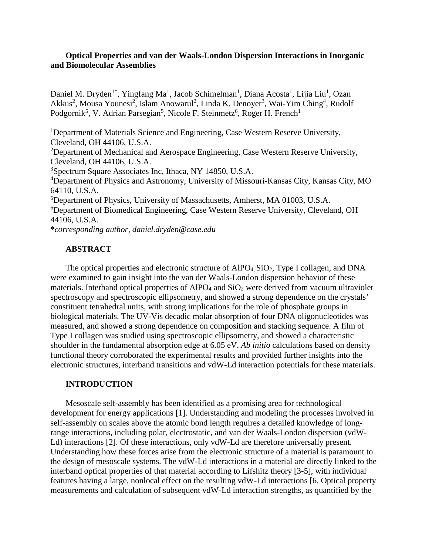## **Optical Properties and van der Waals-London Dispersion Interactions in Inorganic and Biomolecular Assemblies**

Daniel M. Dryden<sup>1\*</sup>, Yingfang Ma<sup>1</sup>, Jacob Schimelman<sup>1</sup>, Diana Acosta<sup>1</sup>, Lijia Liu<sup>1</sup>, Ozan Akkus<sup>2</sup>, Mousa Younesi<sup>2</sup>, Islam Anowarul<sup>2</sup>, Linda K. Denoyer<sup>3</sup>, Wai-Yim Ching<sup>4</sup>, Rudolf Podgornik<sup>5</sup>, V. Adrian Parsegian<sup>5</sup>, Nicole F. Steinmetz<sup>6</sup>, Roger H. French<sup>1</sup>

<sup>1</sup>Department of Materials Science and Engineering, Case Western Reserve University, Cleveland, OH 44106, U.S.A.

<sup>2</sup>Department of Mechanical and Aerospace Engineering, Case Western Reserve University, Cleveland, OH 44106, U.S.A.

3 Spectrum Square Associates Inc, Ithaca, NY 14850, U.S.A.

4 Department of Physics and Astronomy, University of Missouri-Kansas City, Kansas City, MO 64110, U.S.A.

5 Department of Physics, University of Massachusetts, Amherst, MA 01003, U.S.A. 6 Department of Biomedical Engineering, Case Western Reserve University, Cleveland, OH 44106, U.S.A.

**\****corresponding author, daniel.dryden@case.edu*

## **ABSTRACT**

The optical properties and electronic structure of  $AIPO<sub>4</sub>$ ,  $SiO<sub>2</sub>$ , Type I collagen, and DNA were examined to gain insight into the van der Waals-London dispersion behavior of these materials. Interband optical properties of  $AIPO_4$  and  $SiO_2$  were derived from vacuum ultraviolet spectroscopy and spectroscopic ellipsometry, and showed a strong dependence on the crystals' constituent tetrahedral units, with strong implications for the role of phosphate groups in biological materials. The UV-Vis decadic molar absorption of four DNA oligonucleotides was measured, and showed a strong dependence on composition and stacking sequence. A film of Type I collagen was studied using spectroscopic ellipsometry, and showed a characteristic shoulder in the fundamental absorption edge at 6.05 eV. *Ab initio* calculations based on density functional theory corroborated the experimental results and provided further insights into the electronic structures, interband transitions and vdW-Ld interaction potentials for these materials.

## **INTRODUCTION**

Mesoscale self-assembly has been identified as a promising area for technological development for energy applications [1]. Understanding and modeling the processes involved in self-assembly on scales above the atomic bond length requires a detailed knowledge of longrange interactions, including polar, electrostatic, and van der Waals-London dispersion (vdW-Ld) interactions [2]. Of these interactions, only vdW-Ld are therefore universally present. Understanding how these forces arise from the electronic structure of a material is paramount to the design of mesoscale systems. The vdW-Ld interactions in a material are directly linked to the interband optical properties of that material according to Lifshitz theory [3-5], with individual features having a large, nonlocal effect on the resulting vdW-Ld interactions [6. Optical property measurements and calculation of subsequent vdW-Ld interaction strengths, as quantified by the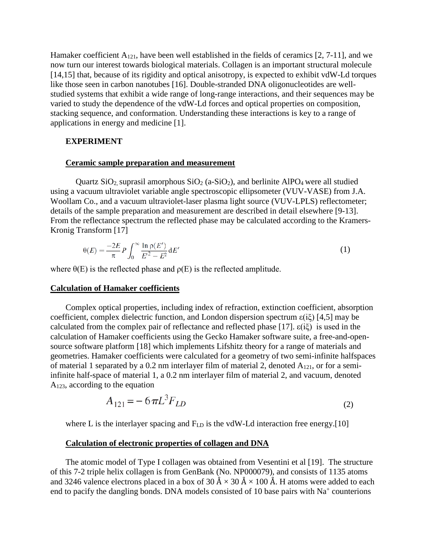Hamaker coefficient A121, have been well established in the fields of ceramics [2, 7-11], and we now turn our interest towards biological materials. Collagen is an important structural molecule [14,15] that, because of its rigidity and optical anisotropy, is expected to exhibit vdW-Ld torques like those seen in carbon nanotubes [16]. Double-stranded DNA oligonucleotides are wellstudied systems that exhibit a wide range of long-range interactions, and their sequences may be varied to study the dependence of the vdW-Ld forces and optical properties on composition, stacking sequence, and conformation. Understanding these interactions is key to a range of applications in energy and medicine [1].

## **EXPERIMENT**

#### **Ceramic sample preparation and measurement**

Quartz  $SiO_2$ , suprasil amorphous  $SiO_2$  (a- $SiO_2$ ), and berlinite AlPO<sub>4</sub> were all studied using a vacuum ultraviolet variable angle spectroscopic ellipsometer (VUV-VASE) from J.A. Woollam Co., and a vacuum ultraviolet-laser plasma light source (VUV-LPLS) reflectometer; details of the sample preparation and measurement are described in detail elsewhere [9-13]. From the reflectance spectrum the reflected phase may be calculated according to the Kramers-Kronig Transform [17]

$$
\theta(E) = \frac{-2E}{\pi} P \int_0^\infty \frac{\ln \rho(E')}{E'^2 - E^2} dE'
$$
\n(1)

where  $\theta(E)$  is the reflected phase and  $\rho(E)$  is the reflected amplitude.

## **Calculation of Hamaker coefficients**

Complex optical properties, including index of refraction, extinction coefficient, absorption coefficient, complex dielectric function, and London dispersion spectrum  $\epsilon(i\xi)$  [4,5] may be calculated from the complex pair of reflectance and reflected phase [17].  $\varepsilon(i\xi)$  is used in the calculation of Hamaker coefficients using the Gecko Hamaker software suite, a free-and-opensource software platform [18] which implements Lifshitz theory for a range of materials and geometries. Hamaker coefficients were calculated for a geometry of two semi-infinite halfspaces of material 1 separated by a 0.2 nm interlayer film of material 2, denoted  $A_{121}$ , or for a semiinfinite half-space of material 1, a 0.2 nm interlayer film of material 2, and vacuum, denoted A123, according to the equation

$$
A_{121} = -6\pi L^3 F_{LD} \tag{2}
$$

where L is the interlayer spacing and  $F_{LD}$  is the vdW-Ld interaction free energy.[10]

### **Calculation of electronic properties of collagen and DNA**

The atomic model of Type I collagen was obtained from Vesentini et al [19]. The structure of this 7-2 triple helix collagen is from GenBank (No. NP000079), and consists of 1135 atoms and 3246 valence electrons placed in a box of 30 Å  $\times$  30 Å  $\times$  100 Å. H atoms were added to each end to pacify the dangling bonds. DNA models consisted of 10 base pairs with  $Na<sup>+</sup>$  counterions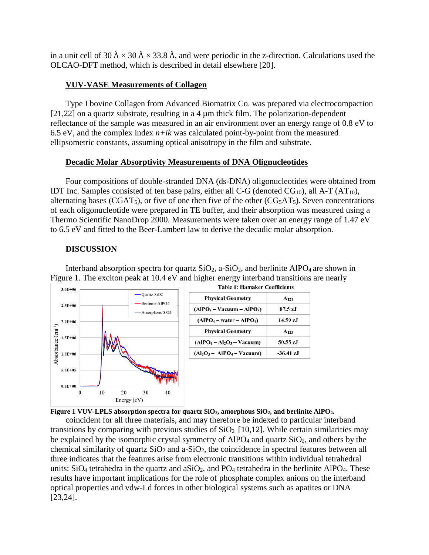in a unit cell of 30 Å  $\times$  30 Å  $\times$  33.8 Å, and were periodic in the z-direction. Calculations used the OLCAO-DFT method, which is described in detail elsewhere [20].

# **VUV-VASE Measurements of Collagen**

Type I bovine Collagen from Advanced Biomatrix Co. was prepared via electrocompaction [21,22] on a quartz substrate, resulting in a 4  $\mu$ m thick film. The polarization-dependent reflectance of the sample was measured in an air environment over an energy range of 0.8 eV to 6.5 eV, and the complex index  $n+ik$  was calculated point-by-point from the measured ellipsometric constants, assuming optical anisotropy in the film and substrate.

# **Decadic Molar Absorptivity Measurements of DNA Olignucleotides**

Four compositions of double-stranded DNA (ds-DNA) oligonucleotides were obtained from IDT Inc. Samples consisted of ten base pairs, either all C-G (denoted  $CG_{10}$ ), all A-T (AT<sub>10</sub>), alternating bases (CGAT<sub>5</sub>), or five of one then five of the other ( $CG<sub>5</sub>AT<sub>5</sub>$ ). Seven concentrations of each oligonucleotide were prepared in TE buffer, and their absorption was measured using a Thermo Scientific NanoDrop 2000. Measurements were taken over an energy range of 1.47 eV to 6.5 eV and fitted to the Beer-Lambert law to derive the decadic molar absorption.

# **DISCUSSION**

Interband absorption spectra for quartz  $SiO_2$ , a- $SiO_2$ , and berlinite AlPO<sub>4</sub> are shown in Figure 1. The exciton peak at  $10.4 \text{ eV}$  and higher energy interband transitions are nearly<br>Table 1: Hamaker Coefficients



| <b>Physical Geometry</b>      | A <sub>121</sub> |
|-------------------------------|------------------|
| $(AIPO4 - Vacuum - AlPO4)$    | 87.5 zJ          |
| $(AIPO4 - water - AIPO4)$     | 14.59 zJ         |
| <b>Physical Geometry</b>      | $A_{123}$        |
| $(AIPO4 - Al2O3 - Vacuum)$    | 50.55 zJ         |
| $(Al_2O_3 - AlPO_4 - Vacuum)$ | $-36.41$ zJ      |



coincident for all three materials, and may therefore be indexed to particular interband transitions by comparing with previous studies of  $SiO<sub>2</sub>$  [10,12]. While certain similarities may be explained by the isomorphic crystal symmetry of AlPO<sub>4</sub> and quartz  $SiO<sub>2</sub>$ , and others by the chemical similarity of quartz  $SiO<sub>2</sub>$  and a- $SiO<sub>2</sub>$ , the coincidence in spectral features between all three indicates that the features arise from electronic transitions within individual tetrahedral units:  $SiO_4$  tetrahedra in the quartz and  $aSiO_2$ , and  $PO_4$  tetrahedra in the berlinite AlPO<sub>4</sub>. These results have important implications for the role of phosphate complex anions on the interband optical properties and vdw-Ld forces in other biological systems such as apatites or DNA [23,24].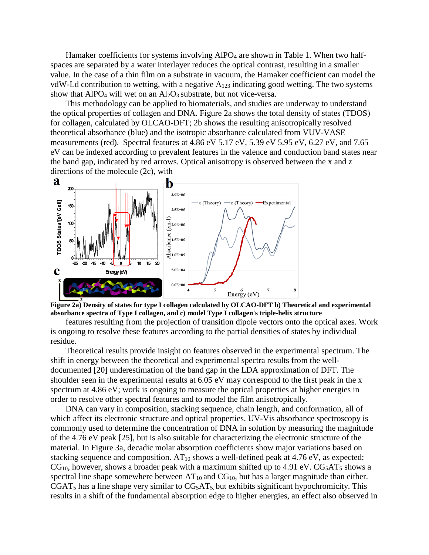Hamaker coefficients for systems involving AlPO<sub>4</sub> are shown in Table 1. When two halfspaces are separated by a water interlayer reduces the optical contrast, resulting in a smaller value. In the case of a thin film on a substrate in vacuum, the Hamaker coefficient can model the vdW-Ld contribution to wetting, with a negative  $A_{123}$  indicating good wetting. The two systems show that AlPO<sub>4</sub> will wet on an  $Al_2O_3$  substrate, but not vice-versa.

This methodology can be applied to biomaterials, and studies are underway to understand the optical properties of collagen and DNA. Figure 2a shows the total density of states (TDOS) for collagen, calculated by OLCAO-DFT; 2b shows the resulting anisotropically resolved theoretical absorbance (blue) and the isotropic absorbance calculated from VUV-VASE measurements (red). Spectral features at 4.86 eV 5.17 eV, 5.39 eV 5.95 eV, 6.27 eV, and 7.65 eV can be indexed according to prevalent features in the valence and conduction band states near the band gap, indicated by red arrows. Optical anisotropy is observed between the x and z directions of the molecule (2c), with





features resulting from the projection of transition dipole vectors onto the optical axes. Work is ongoing to resolve these features according to the partial densities of states by individual residue.

Theoretical results provide insight on features observed in the experimental spectrum. The shift in energy between the theoretical and experimental spectra results from the welldocumented [20] underestimation of the band gap in the LDA approximation of DFT. The shoulder seen in the experimental results at 6.05 eV may correspond to the first peak in the x spectrum at 4.86 eV; work is ongoing to measure the optical properties at higher energies in order to resolve other spectral features and to model the film anisotropically.

DNA can vary in composition, stacking sequence, chain length, and conformation, all of which affect its electronic structure and optical properties. UV-Vis absorbance spectroscopy is commonly used to determine the concentration of DNA in solution by measuring the magnitude of the 4.76 eV peak [25], but is also suitable for characterizing the electronic structure of the material. In Figure 3a, decadic molar absorption coefficients show major variations based on stacking sequence and composition.  $AT_{10}$  shows a well-defined peak at 4.76 eV, as expected;  $CG<sub>10</sub>$ , however, shows a broader peak with a maximum shifted up to 4.91 eV.  $CG<sub>5</sub>AT<sub>5</sub>$  shows a spectral line shape somewhere between  $AT_{10}$  and  $CG_{10}$ , but has a larger magnitude than either.  $CGAT<sub>5</sub>$  has a line shape very similar to  $CG<sub>5</sub>AT<sub>5</sub>$ , but exhibits significant hypochromicity. This results in a shift of the fundamental absorption edge to higher energies, an effect also observed in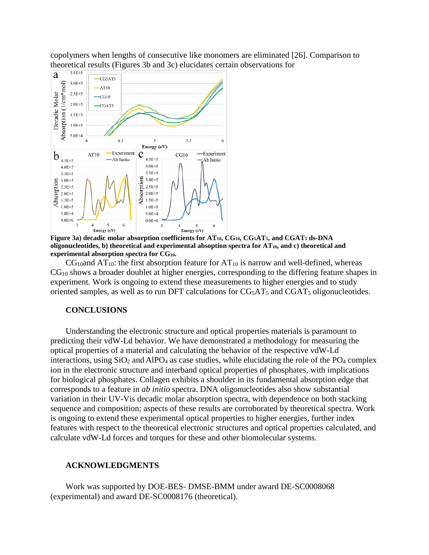copolymers when lengths of consecutive like monomers are eliminated [26]. Comparison to theoretical results (Figures 3b and 3c) elucidates certain observations for



**Figure 3a) decadic molar absorption coefficients for AT10, CG10, CG5AT5, and CGAT5 ds-DNA**  oligonucleotides, b) theoretical and experimental absoption spectra for  $AT_{10}$ , and c) theoretical and **experimental absorption spectra for CG10.**

 $CG<sub>10</sub>$ and AT<sub>10</sub>: the first absorption feature for AT<sub>10</sub> is narrow and well-defined, whereas CG10 shows a broader doublet at higher energies, corresponding to the differing feature shapes in experiment. Work is ongoing to extend these measurements to higher energies and to study oriented samples, as well as to run DFT calculations for CG<sub>5</sub>AT<sub>5</sub> and CGAT<sub>5</sub> oligonucleotides.

### **CONCLUSIONS**

Understanding the electronic structure and optical properties materials is paramount to predicting their vdW-Ld behavior. We have demonstrated a methodology for measuring the optical properties of a material and calculating the behavior of the respective vdW-Ld interactions, using  $SiO_2$  and  $AlPO_4$  as case studies, while elucidating the role of the PO<sub>4</sub> complex ion in the electronic structure and interband optical properties of phosphates, with implications for biological phosphates. Collagen exhibits a shoulder in its fundamental absorption edge that corresponds to a feature in *ab initio* spectra. DNA oligonucleotides also show substantial variation in their UV-Vis decadic molar absorption spectra, with dependence on both stacking sequence and composition; aspects of these results are corroborated by theoretical spectra. Work is ongoing to extend these experimental optical properties to higher energies, further index features with respect to the theoretical electronic structures and optical properties calculated, and calculate vdW-Ld forces and torques for these and other biomolecular systems.

#### **ACKNOWLEDGMENTS**

Work was supported by DOE-BES- DMSE-BMM under award DE-SC0008068 (experimental) and award DE-SC0008176 (theoretical).